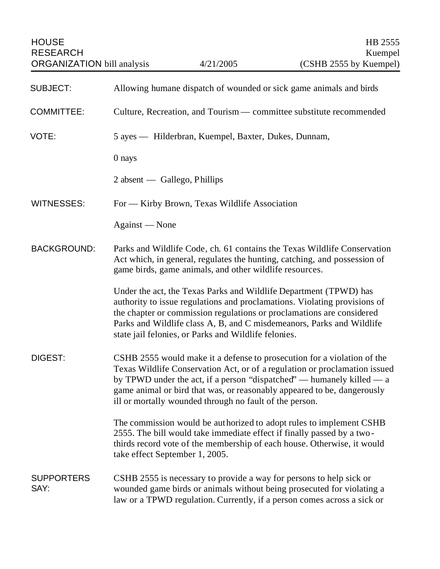| <b>HOUSE</b><br><b>RESEARCH</b><br><b>ORGANIZATION</b> bill analysis |                                                                                                                                                                                                                                                                                                                                                                      | 4/21/2005                                                                                                                 | HB 2555<br>Kuempel<br>(CSHB 2555 by Kuempel)                                                                                                                                                                                |
|----------------------------------------------------------------------|----------------------------------------------------------------------------------------------------------------------------------------------------------------------------------------------------------------------------------------------------------------------------------------------------------------------------------------------------------------------|---------------------------------------------------------------------------------------------------------------------------|-----------------------------------------------------------------------------------------------------------------------------------------------------------------------------------------------------------------------------|
|                                                                      |                                                                                                                                                                                                                                                                                                                                                                      |                                                                                                                           |                                                                                                                                                                                                                             |
| <b>SUBJECT:</b>                                                      |                                                                                                                                                                                                                                                                                                                                                                      |                                                                                                                           | Allowing humane dispatch of wounded or sick game animals and birds                                                                                                                                                          |
| <b>COMMITTEE:</b>                                                    |                                                                                                                                                                                                                                                                                                                                                                      |                                                                                                                           | Culture, Recreation, and Tourism — committee substitute recommended                                                                                                                                                         |
| VOTE:                                                                | 5 ayes — Hilderbran, Kuempel, Baxter, Dukes, Dunnam,                                                                                                                                                                                                                                                                                                                 |                                                                                                                           |                                                                                                                                                                                                                             |
|                                                                      | 0 nays                                                                                                                                                                                                                                                                                                                                                               |                                                                                                                           |                                                                                                                                                                                                                             |
|                                                                      |                                                                                                                                                                                                                                                                                                                                                                      | $2$ absent — Gallego, Phillips                                                                                            |                                                                                                                                                                                                                             |
| <b>WITNESSES:</b>                                                    | For — Kirby Brown, Texas Wildlife Association                                                                                                                                                                                                                                                                                                                        |                                                                                                                           |                                                                                                                                                                                                                             |
|                                                                      | Against - None                                                                                                                                                                                                                                                                                                                                                       |                                                                                                                           |                                                                                                                                                                                                                             |
| <b>BACKGROUND:</b>                                                   | Parks and Wildlife Code, ch. 61 contains the Texas Wildlife Conservation<br>Act which, in general, regulates the hunting, catching, and possession of<br>game birds, game animals, and other wildlife resources.                                                                                                                                                     |                                                                                                                           |                                                                                                                                                                                                                             |
|                                                                      |                                                                                                                                                                                                                                                                                                                                                                      | Under the act, the Texas Parks and Wildlife Department (TPWD) has<br>state jail felonies, or Parks and Wildlife felonies. | authority to issue regulations and proclamations. Violating provisions of<br>the chapter or commission regulations or proclamations are considered<br>Parks and Wildlife class A, B, and C misdemeanors, Parks and Wildlife |
| DIGEST:                                                              | CSHB 2555 would make it a defense to prosecution for a violation of the<br>Texas Wildlife Conservation Act, or of a regulation or proclamation issued<br>by TPWD under the act, if a person "dispatched" — humanely killed — a<br>game animal or bird that was, or reasonably appeared to be, dangerously<br>ill or mortally wounded through no fault of the person. |                                                                                                                           |                                                                                                                                                                                                                             |
|                                                                      |                                                                                                                                                                                                                                                                                                                                                                      | 2555. The bill would take immediate effect if finally passed by a two-<br>take effect September 1, 2005.                  | The commission would be authorized to adopt rules to implement CSHB<br>thirds record vote of the membership of each house. Otherwise, it would                                                                              |
| <b>SUPPORTERS</b><br>SAY:                                            |                                                                                                                                                                                                                                                                                                                                                                      | CSHB 2555 is necessary to provide a way for persons to help sick or                                                       | wounded game birds or animals without being prosecuted for violating a<br>law or a TPWD regulation. Currently, if a person comes across a sick or                                                                           |